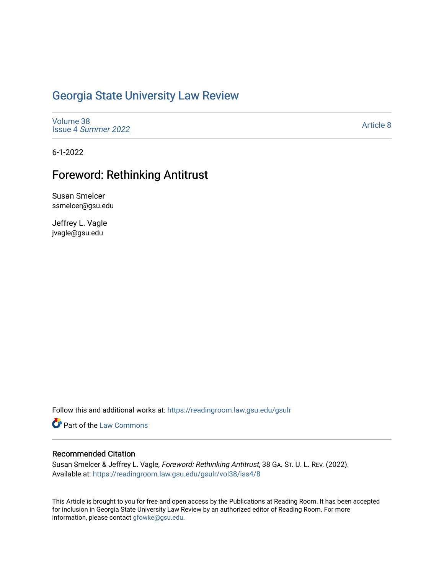# [Georgia State University Law Review](https://readingroom.law.gsu.edu/gsulr)

[Volume 38](https://readingroom.law.gsu.edu/gsulr/vol38) Issue 4 [Summer 2022](https://readingroom.law.gsu.edu/gsulr/vol38/iss4) 

[Article 8](https://readingroom.law.gsu.edu/gsulr/vol38/iss4/8) 

6-1-2022

# Foreword: Rethinking Antitrust

Susan Smelcer ssmelcer@gsu.edu

Jeffrey L. Vagle jvagle@gsu.edu

Follow this and additional works at: [https://readingroom.law.gsu.edu/gsulr](https://readingroom.law.gsu.edu/gsulr?utm_source=readingroom.law.gsu.edu%2Fgsulr%2Fvol38%2Fiss4%2F8&utm_medium=PDF&utm_campaign=PDFCoverPages) 

Part of the [Law Commons](https://network.bepress.com/hgg/discipline/578?utm_source=readingroom.law.gsu.edu%2Fgsulr%2Fvol38%2Fiss4%2F8&utm_medium=PDF&utm_campaign=PDFCoverPages)

## Recommended Citation

Susan Smelcer & Jeffrey L. Vagle, Foreword: Rethinking Antitrust, 38 GA. ST. U. L. REV. (2022). Available at: [https://readingroom.law.gsu.edu/gsulr/vol38/iss4/8](https://readingroom.law.gsu.edu/gsulr/vol38/iss4/8?utm_source=readingroom.law.gsu.edu%2Fgsulr%2Fvol38%2Fiss4%2F8&utm_medium=PDF&utm_campaign=PDFCoverPages)

This Article is brought to you for free and open access by the Publications at Reading Room. It has been accepted for inclusion in Georgia State University Law Review by an authorized editor of Reading Room. For more information, please contact [gfowke@gsu.edu.](mailto:gfowke@gsu.edu)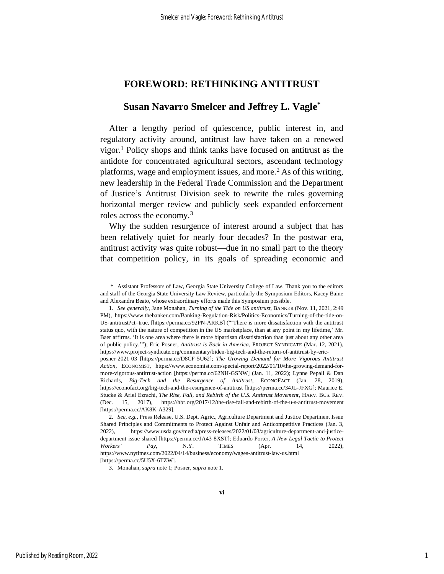# **FOREWORD: RETHINKING ANTITRUST**

## **Susan Navarro Smelcer and Jeffrey L. Vagle\***

<span id="page-1-0"></span>After a lengthy period of quiescence, public interest in, and regulatory activity around, antitrust law have taken on a renewed vigor.<sup>1</sup> Policy shops and think tanks have focused on antitrust as the antidote for concentrated agricultural sectors, ascendant technology platforms, wage and employment issues, and more.<sup>2</sup> As of this writing, new leadership in the Federal Trade Commission and the Department of Justice's Antitrust Division seek to rewrite the rules governing horizontal merger review and publicly seek expanded enforcement roles across the economy.<sup>3</sup>

Why the sudden resurgence of interest around a subject that has been relatively quiet for nearly four decades? In the postwar era, antitrust activity was quite robust—due in no small part to the theory that competition policy, in its goals of spreading economic and

<sup>\*</sup> Assistant Professors of Law, Georgia State University College of Law. Thank you to the editors and staff of the Georgia State University Law Review, particularly the Symposium Editors, Kacey Baine and Alexandra Beato, whose extraordinary efforts made this Symposium possible.

<sup>1</sup>*. See generally*, Jane Monahan, *Turning of the Tide on US antitrust*, BANKER (Nov. 11, 2021, 2:49 PM), https://www.thebanker.com/Banking-Regulation-Risk/Politics-Economics/Turning-of-the-tide-on-US-antitrust?ct=true, [https://perma.cc/92PN-ARKB] ("'There is more dissatisfaction with the antitrust status quo, with the nature of competition in the US marketplace, than at any point in my lifetime,' Mr. Baer affirms. 'It is one area where there is more bipartisan dissatisfaction than just about any other area of public policy.'"); Eric Posner, *Antitrust is Back in America*, PROJECT SYNDICATE (Mar. 12, 2021), https://www.project-syndicate.org/commentary/biden-big-tech-and-the-return-of-antitrust-by-eric-

posner-2021-03 [https://perma.cc/D8CF-5U62]; *The Growing Demand for More Vigorous Antitrust Action*, ECONOMIST, https://www.economist.com/special-report/2022/01/10/the-growing-demand-formore-vigorous-antitrust-action [https://perma.cc/62NH-GSNW] (Jan. 11, 2022); Lynne Pepall & Dan Richards, *Big-Tech and the Resurgence of Antitrust*, ECONOFACT (Jan. 28, 2019), https://econofact.org/big-tech-and-the-resurgence-of-antitrust [https://perma.cc/34JL-JFXG]; Maurice E. Stucke & Ariel Ezrachi, *The Rise, Fall, and Rebirth of the U.S. Antitrust Movement*, HARV. BUS. REV. (Dec. 15, 2017), https://hbr.org/2017/12/the-rise-fall-and-rebirth-of-the-u-s-antitrust-movement [https://perma.cc/AK8K-A329].

<sup>2</sup>*. See*, *e.g.*, Press Release, U.S. Dept. Agric., Agriculture Department and Justice Department Issue Shared Principles and Commitments to Protect Against Unfair and Anticompetitive Practices (Jan. 3, 2022), https://www.usda.gov/media/press-releases/2022/01/03/agriculture-department-and-justicedepartment-issue-shared [https://perma.cc/JA43-8XST]; Eduardo Porter, *A New Legal Tactic to Protect Workers' Pay*, N.Y. TIMES (Apr. 14, 2022), https://www.nytimes.com/2022/04/14/business/economy/wages-antitrust-law-us.html [https://perma.cc/5U5X-6TZW].

<sup>3.</sup> Monahan, *supra* note 1; Posner, *supra* not[e 1.](#page-1-0)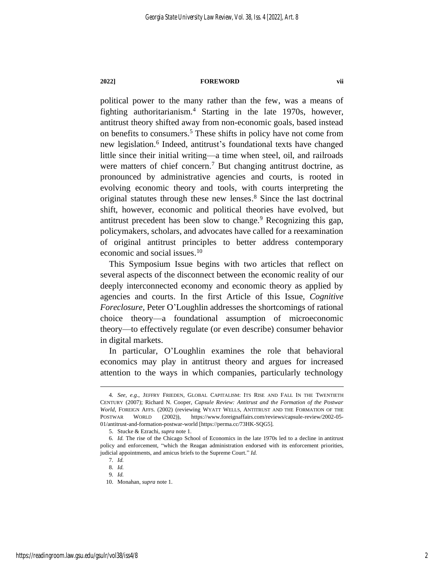### **2022] FOREWORD vii**

political power to the many rather than the few, was a means of fighting authoritarianism.<sup>4</sup> Starting in the late 1970s, however, antitrust theory shifted away from non-economic goals, based instead on benefits to consumers.<sup>5</sup> These shifts in policy have not come from new legislation.<sup>6</sup> Indeed, antitrust's foundational texts have changed little since their initial writing—a time when steel, oil, and railroads were matters of chief concern. <sup>7</sup> But changing antitrust doctrine, as pronounced by administrative agencies and courts, is rooted in evolving economic theory and tools, with courts interpreting the original statutes through these new lenses. <sup>8</sup> Since the last doctrinal shift, however, economic and political theories have evolved, but antitrust precedent has been slow to change. $9$  Recognizing this gap, policymakers, scholars, and advocates have called for a reexamination of original antitrust principles to better address contemporary economic and social issues. 10

This Symposium Issue begins with two articles that reflect on several aspects of the disconnect between the economic reality of our deeply interconnected economy and economic theory as applied by agencies and courts. In the first Article of this Issue, *Cognitive Foreclosure*, Peter O'Loughlin addresses the shortcomings of rational choice theory—a foundational assumption of microeconomic theory—to effectively regulate (or even describe) consumer behavior in digital markets.

In particular, O'Loughlin examines the role that behavioral economics may play in antitrust theory and argues for increased attention to the ways in which companies, particularly technology

<sup>4</sup>*. See, e.g*., JEFFRY FRIEDEN, GLOBAL CAPITALISM: ITS RISE AND FALL IN THE TWENTIETH CENTURY (2007); Richard N. Cooper, *Capsule Review: Antitrust and the Formation of the Postwar World*, FOREIGN AFFS. (2002) (reviewing WYATT WELLS, ANTITRUST AND THE FORMATION OF THE POSTWAR WORLD (2002)), https://www.foreignaffairs.com/reviews/capsule-review/2002-05- 01/antitrust-and-formation-postwar-world [https://perma.cc/73HK-SQG5].

<sup>5.</sup> Stucke & Ezrachi, *supra* not[e 1.](#page-1-0)

<sup>6</sup>*. Id.* The rise of the Chicago School of Economics in the late 1970s led to a decline in antitrust policy and enforcement, "which the Reagan administration endorsed with its enforcement priorities, judicial appointments, and amicus briefs to the Supreme Court." *Id.*

<sup>7</sup>*. Id.*

<sup>8</sup>*. Id.*

<sup>9</sup>*. Id.*

<sup>10.</sup> Monahan, *supra* note 1.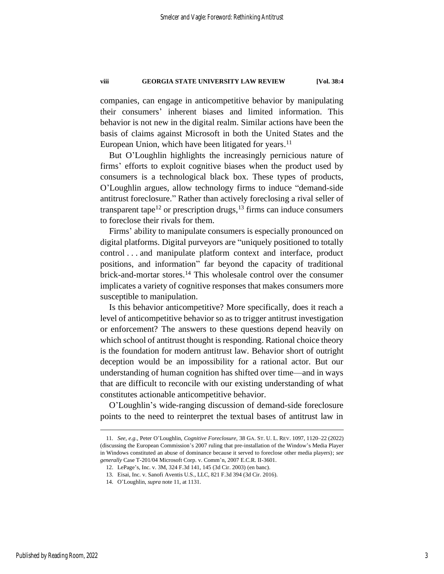### **viii GEORGIA STATE UNIVERSITY LAW REVIEW [Vol. 38:4**

companies, can engage in anticompetitive behavior by manipulating their consumers' inherent biases and limited information. This behavior is not new in the digital realm. Similar actions have been the basis of claims against Microsoft in both the United States and the European Union, which have been litigated for years. $^{11}$ 

<span id="page-3-0"></span>But O'Loughlin highlights the increasingly pernicious nature of firms' efforts to exploit cognitive biases when the product used by consumers is a technological black box. These types of products, O'Loughlin argues, allow technology firms to induce "demand-side antitrust foreclosure." Rather than actively foreclosing a rival seller of transparent tape<sup>12</sup> or prescription drugs,  $13$  firms can induce consumers to foreclose their rivals for them.

Firms' ability to manipulate consumers is especially pronounced on digital platforms. Digital purveyors are "uniquely positioned to totally control . . . and manipulate platform context and interface, product positions, and information" far beyond the capacity of traditional brick-and-mortar stores.<sup>14</sup> This wholesale control over the consumer implicates a variety of cognitive responses that makes consumers more susceptible to manipulation.

Is this behavior anticompetitive? More specifically, does it reach a level of anticompetitive behavior so as to trigger antitrust investigation or enforcement? The answers to these questions depend heavily on which school of antitrust thought is responding. Rational choice theory is the foundation for modern antitrust law. Behavior short of outright deception would be an impossibility for a rational actor. But our understanding of human cognition has shifted over time—and in ways that are difficult to reconcile with our existing understanding of what constitutes actionable anticompetitive behavior.

O'Loughlin's wide-ranging discussion of demand-side foreclosure points to the need to reinterpret the textual bases of antitrust law in

<sup>11</sup>*. See, e.g.*, Peter O'Loughlin, *Cognitive Foreclosure*, 38 GA. ST. U. L. REV. 1097, 1120–22 (2022) (discussing the European Commission's 2007 ruling that pre-installation of the Window's Media Player in Windows constituted an abuse of dominance because it served to foreclose other media players); *see generally* Case T-201/04 Microsoft Corp. v. Comm'n, 2007 E.C.R. II-3601.

<sup>12.</sup> LePage's, Inc. v. 3M, 324 F.3d 141, 145 (3d Cir. 2003) (en banc).

<sup>13.</sup> Eisai, Inc. v. Sanofi Aventis U.S., LLC, 821 F.3d 394 (3d Cir. 2016).

<sup>14.</sup> O'Loughlin, *supra* note [11,](#page-3-0) at 1131.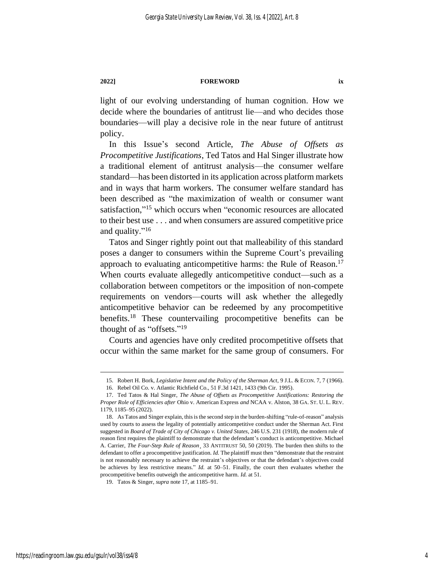#### **2022] FOREWORD ix**

light of our evolving understanding of human cognition. How we decide where the boundaries of antitrust lie—and who decides those boundaries—will play a decisive role in the near future of antitrust policy.

In this Issue's second Article, *The Abuse of Offsets as Procompetitive Justifications*, Ted Tatos and Hal Singer illustrate how a traditional element of antitrust analysis—the consumer welfare standard—has been distorted in its application across platform markets and in ways that harm workers. The consumer welfare standard has been described as "the maximization of wealth or consumer want satisfaction,"<sup>15</sup> which occurs when "economic resources are allocated to their best use . . . and when consumers are assured competitive price and quality."<sup>16</sup>

<span id="page-4-0"></span>Tatos and Singer rightly point out that malleability of this standard poses a danger to consumers within the Supreme Court's prevailing approach to evaluating anticompetitive harms: the Rule of Reason.<sup>17</sup> When courts evaluate allegedly anticompetitive conduct—such as a collaboration between competitors or the imposition of non-compete requirements on vendors—courts will ask whether the allegedly anticompetitive behavior can be redeemed by any procompetitive benefits.<sup>18</sup> These countervailing procompetitive benefits can be thought of as "offsets."<sup>19</sup>

Courts and agencies have only credited procompetitive offsets that occur within the same market for the same group of consumers. For

<sup>15.</sup> Robert H. Bork, *Legislative Intent and the Policy of the Sherman Act*, 9 J.L. & ECON. 7, 7 (1966).

<sup>16.</sup> Rebel Oil Co. v. Atlantic Richfield Co., 51 F.3d 1421, 1433 (9th Cir. 1995).

<sup>17.</sup> Ted Tatos & Hal Singer, *The Abuse of Offsets as Procompetitive Justifications: Restoring the Proper Role of Efficiencies after* Ohio v. American Express *and* NCAA v. Alston, 38 GA. ST. U. L. REV. 1179, 1185–95 (2022).

<sup>18.</sup> As Tatos and Singer explain, this is the second step in the burden-shifting "rule-of-reason" analysis used by courts to assess the legality of potentially anticompetitive conduct under the Sherman Act. First suggested in *Board of Trade of City of Chicago v. United States*, 246 U.S. 231 (1918), the modern rule of reason first requires the plaintiff to demonstrate that the defendant's conduct is anticompetitive. Michael A. Carrier, *The Four-Step Rule of Reason*¸ 33 ANTITRUST 50, 50 (2019). The burden then shifts to the defendant to offer a procompetitive justification. *Id.* The plaintiff must then "demonstrate that the restraint is not reasonably necessary to achieve the restraint's objectives or that the defendant's objectives could be achieves by less restrictive means." *Id.* at 50–51. Finally, the court then evaluates whether the procompetitive benefits outweigh the anticompetitive harm. *Id.* at 51.

<sup>19.</sup> Tatos & Singer, *supra* note [17,](#page-4-0) at 1185–91.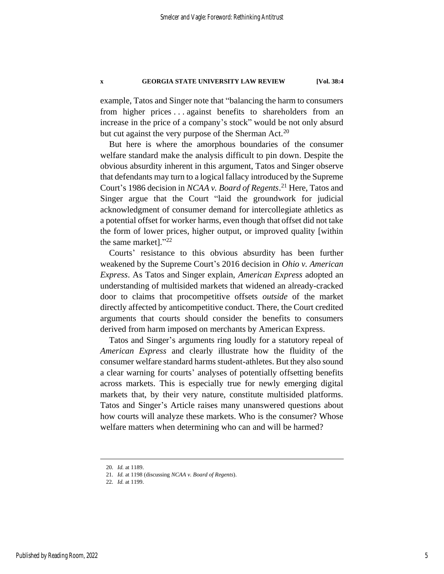### **x GEORGIA STATE UNIVERSITY LAW REVIEW [Vol. 38:4**

example, Tatos and Singer note that "balancing the harm to consumers from higher prices . . . against benefits to shareholders from an increase in the price of a company's stock" would be not only absurd but cut against the very purpose of the Sherman Act.<sup>20</sup>

But here is where the amorphous boundaries of the consumer welfare standard make the analysis difficult to pin down. Despite the obvious absurdity inherent in this argument, Tatos and Singer observe that defendants may turn to a logical fallacy introduced by the Supreme Court's 1986 decision in *NCAA v. Board of Regents*. <sup>21</sup> Here, Tatos and Singer argue that the Court "laid the groundwork for judicial acknowledgment of consumer demand for intercollegiate athletics as a potential offset for worker harms, even though that offset did not take the form of lower prices, higher output, or improved quality [within the same market]."22

Courts' resistance to this obvious absurdity has been further weakened by the Supreme Court's 2016 decision in *Ohio v. American Express*. As Tatos and Singer explain, *American Express* adopted an understanding of multisided markets that widened an already-cracked door to claims that procompetitive offsets *outside* of the market directly affected by anticompetitive conduct. There, the Court credited arguments that courts should consider the benefits to consumers derived from harm imposed on merchants by American Express.

Tatos and Singer's arguments ring loudly for a statutory repeal of *American Express* and clearly illustrate how the fluidity of the consumer welfare standard harms student-athletes. But they also sound a clear warning for courts' analyses of potentially offsetting benefits across markets. This is especially true for newly emerging digital markets that, by their very nature, constitute multisided platforms. Tatos and Singer's Article raises many unanswered questions about how courts will analyze these markets. Who is the consumer? Whose welfare matters when determining who can and will be harmed?

<sup>20</sup>*. Id.* at 1189.

<sup>21</sup>*. Id.* at 1198 (discussing *NCAA v. Board of Regents*).

<sup>22</sup>*. Id.* at 1199.